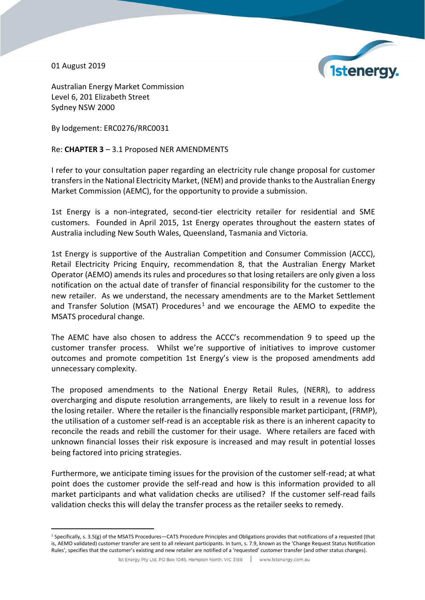01 August 2019

 $\overline{a}$ 



Australian Energy Market Commission Level 6, 201 Elizabeth Street Sydney NSW 2000

By lodgement: ERC0276/RRC0031

Re: **CHAPTER 3** – 3.1 Proposed NER AMENDMENTS

I refer to your consultation paper regarding an electricity rule change proposal for customer transfers in the National Electricity Market, (NEM) and provide thanks to the Australian Energy Market Commission (AEMC), for the opportunity to provide a submission.

1st Energy is a non-integrated, second-tier electricity retailer for residential and SME customers. Founded in April 2015, 1st Energy operates throughout the eastern states of Australia including New South Wales, Queensland, Tasmania and Victoria.

1st Energy is supportive of the Australian Competition and Consumer Commission (ACCC), Retail Electricity Pricing Enquiry, recommendation 8, that the Australian Energy Market Operator (AEMO) amends its rules and procedures so that losing retailers are only given a loss notification on the actual date of transfer of financial responsibility for the customer to the new retailer. As we understand, the necessary amendments are to the Market Settlement and Transfer Solution (MSAT) Procedures<sup>1</sup> and we encourage the AEMO to expedite the MSATS procedural change.

The AEMC have also chosen to address the ACCC's recommendation 9 to speed up the customer transfer process. Whilst we're supportive of initiatives to improve customer outcomes and promote competition 1st Energy's view is the proposed amendments add unnecessary complexity.

The proposed amendments to the National Energy Retail Rules, (NERR), to address overcharging and dispute resolution arrangements, are likely to result in a revenue loss for the losing retailer. Where the retailer is the financially responsible market participant, (FRMP), the utilisation of a customer self-read is an acceptable risk as there is an inherent capacity to reconcile the reads and rebill the customer for their usage. Where retailers are faced with unknown financial losses their risk exposure is increased and may result in potential losses being factored into pricing strategies.

Furthermore, we anticipate timing issues for the provision of the customer self-read; at what point does the customer provide the self-read and how is this information provided to all market participants and what validation checks are utilised? If the customer self-read fails validation checks this will delay the transfer process as the retailer seeks to remedy.

 $1$  Specifically, s. 3.5(g) of the MSATS Procedures—CATS Procedure Principles and Obligations provides that notifications of a requested (that is, AEMO validated) customer transfer are sent to all relevant participants. In turn, s. 7.9, known as the 'Change Request Status Notification Rules', specifies that the customer's existing and new retailer are notified of a 'requested' customer transfer (and other status changes).